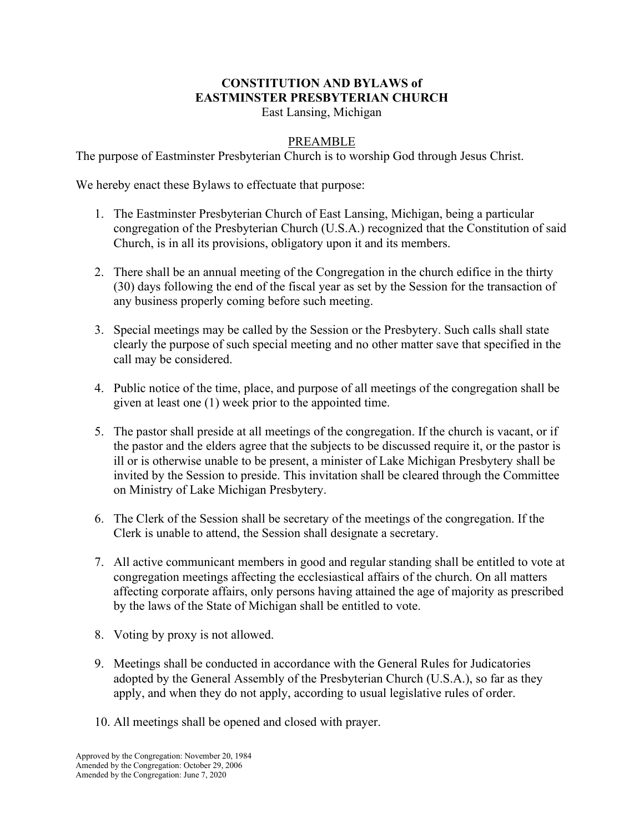## **CONSTITUTION AND BYLAWS of EASTMINSTER PRESBYTERIAN CHURCH**

East Lansing, Michigan

## PREAMBLE

The purpose of Eastminster Presbyterian Church is to worship God through Jesus Christ.

We hereby enact these Bylaws to effectuate that purpose:

- 1. The Eastminster Presbyterian Church of East Lansing, Michigan, being a particular congregation of the Presbyterian Church (U.S.A.) recognized that the Constitution of said Church, is in all its provisions, obligatory upon it and its members.
- 2. There shall be an annual meeting of the Congregation in the church edifice in the thirty (30) days following the end of the fiscal year as set by the Session for the transaction of any business properly coming before such meeting.
- 3. Special meetings may be called by the Session or the Presbytery. Such calls shall state clearly the purpose of such special meeting and no other matter save that specified in the call may be considered.
- 4. Public notice of the time, place, and purpose of all meetings of the congregation shall be given at least one (1) week prior to the appointed time.
- 5. The pastor shall preside at all meetings of the congregation. If the church is vacant, or if the pastor and the elders agree that the subjects to be discussed require it, or the pastor is ill or is otherwise unable to be present, a minister of Lake Michigan Presbytery shall be invited by the Session to preside. This invitation shall be cleared through the Committee on Ministry of Lake Michigan Presbytery.
- 6. The Clerk of the Session shall be secretary of the meetings of the congregation. If the Clerk is unable to attend, the Session shall designate a secretary.
- 7. All active communicant members in good and regular standing shall be entitled to vote at congregation meetings affecting the ecclesiastical affairs of the church. On all matters affecting corporate affairs, only persons having attained the age of majority as prescribed by the laws of the State of Michigan shall be entitled to vote.
- 8. Voting by proxy is not allowed.
- 9. Meetings shall be conducted in accordance with the General Rules for Judicatories adopted by the General Assembly of the Presbyterian Church (U.S.A.), so far as they apply, and when they do not apply, according to usual legislative rules of order.
- 10. All meetings shall be opened and closed with prayer.